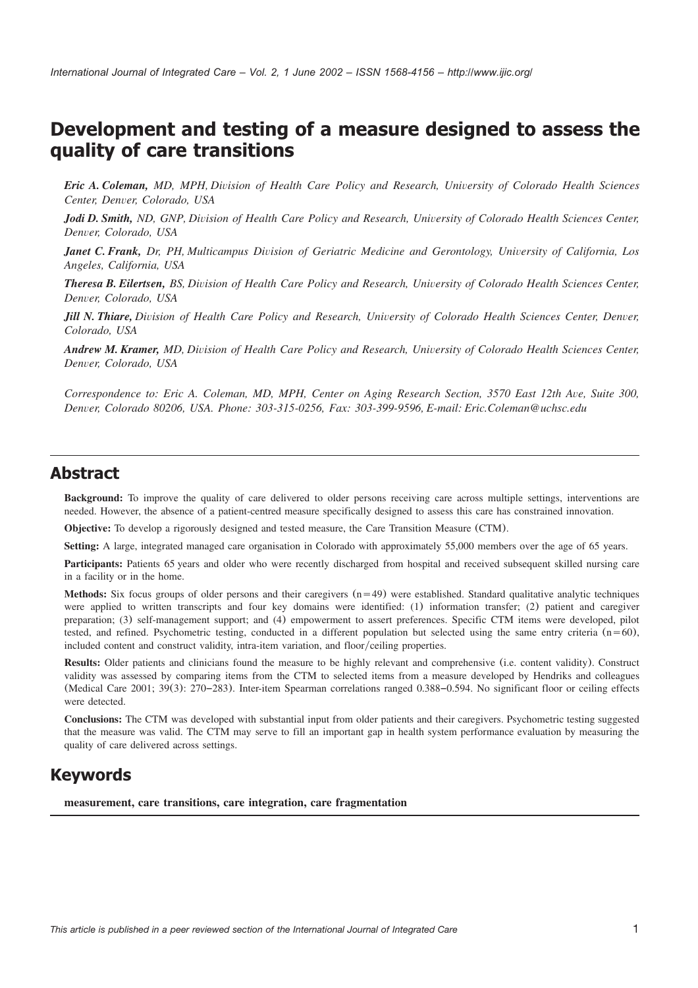# **Development and testing of a measure designed to assess the quality of care transitions**

*Eric A. Coleman, MD, MPH, Division of Health Care Policy and Research, University of Colorado Health Sciences Center, Denver, Colorado, USA*

*Jodi D. Smith, ND, GNP, Division of Health Care Policy and Research, University of Colorado Health Sciences Center, Denver, Colorado, USA*

*Janet C. Frank, Dr, PH, Multicampus Division of Geriatric Medicine and Gerontology, University of California, Los Angeles, California, USA*

*Theresa B. Eilertsen, BS, Division of Health Care Policy and Research, University of Colorado Health Sciences Center, Denver, Colorado, USA*

*Jill N. Thiare, Division of Health Care Policy and Research, University of Colorado Health Sciences Center, Denver, Colorado, USA*

*Andrew M. Kramer, MD, Division of Health Care Policy and Research, University of Colorado Health Sciences Center, Denver, Colorado, USA*

*Correspondence to: Eric A. Coleman, MD, MPH, Center on Aging Research Section, 3570 East 12th Ave, Suite 300, Denver, Colorado 80206, USA. Phone: 303-315-0256, Fax: 303-399-9596, E-mail: Eric.Coleman@uchsc.edu*

### **Abstract**

**Background:** To improve the quality of care delivered to older persons receiving care across multiple settings, interventions are needed. However, the absence of a patient-centred measure specifically designed to assess this care has constrained innovation.

**Objective:** To develop a rigorously designed and tested measure, the Care Transition Measure (CTM).

**Setting:** A large, integrated managed care organisation in Colorado with approximately 55,000 members over the age of 65 years.

Participants: Patients 65 years and older who were recently discharged from hospital and received subsequent skilled nursing care in a facility or in the home.

**Methods:** Six focus groups of older persons and their caregivers  $(n=49)$  were established. Standard qualitative analytic techniques were applied to written transcripts and four key domains were identified: (1) information transfer; (2) patient and caregiver preparation; (3) self-management support; and (4) empowerment to assert preferences. Specific CTM items were developed, pilot tested, and refined. Psychometric testing, conducted in a different population but selected using the same entry criteria  $(n=60)$ , included content and construct validity, intra-item variation, and floor/ceiling properties.

**Results:** Older patients and clinicians found the measure to be highly relevant and comprehensive (i.e. content validity). Construct validity was assessed by comparing items from the CTM to selected items from a measure developed by Hendriks and colleagues (Medical Care 2001; 39(3): 270–283). Inter-item Spearman correlations ranged 0.388–0.594. No significant floor or ceiling effects were detected.

**Conclusions:** The CTM was developed with substantial input from older patients and their caregivers. Psychometric testing suggested that the measure was valid. The CTM may serve to fill an important gap in health system performance evaluation by measuring the quality of care delivered across settings.

## **Keywords**

**measurement, care transitions, care integration, care fragmentation**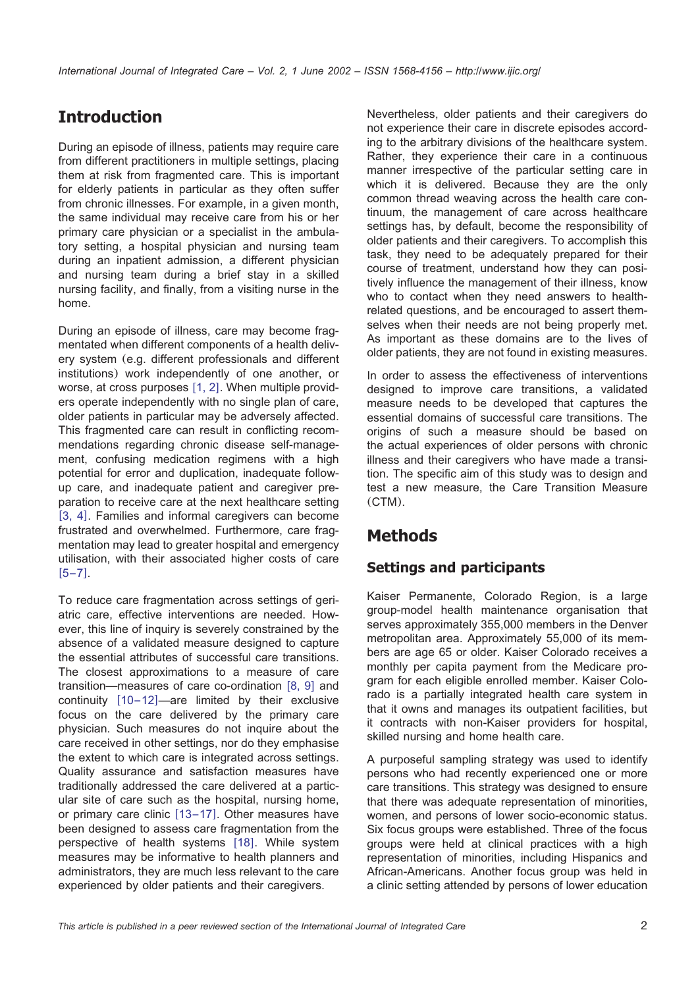# **Introduction**

During an episode of illness, patients may require care from different practitioners in multiple settings, placing them at risk from fragmented care. This is important for elderly patients in particular as they often suffer from chronic illnesses. For example, in a given month, the same individual may receive care from his or her primary care physician or a specialist in the ambulatory setting, a hospital physician and nursing team during an inpatient admission, a different physician and nursing team during a brief stay in a skilled nursing facility, and finally, from a visiting nurse in the home.

During an episode of illness, care may become fragmentated when different components of a health delivery system (e.g. different professionals and different institutions) work independently of one another, or worse, at cross purposes  $[1, 2]$  $[1, 2]$  $[1, 2]$ . When multiple providers operate independently with no single plan of care, older patients in particular may be adversely affected. This fragmented care can result in conflicting recommendations regarding chronic disease self-management, confusing medication regimens with a high potential for error and duplication, inadequate followup care, and inadequate patient and caregiver preparation to receive care at the next healthcare setting [[3, 4](#page-7-0)]. Families and informal caregivers can become frustrated and overwhelmed. Furthermore, care fragmentation may lead to greater hospital and emergency utilisation, with their associated higher costs of care  $[5-7]$  $[5-7]$  $[5-7]$ .

To reduce care fragmentation across settings of geriatric care, effective interventions are needed. However, this line of inquiry is severely constrained by the absence of a validated measure designed to capture the essential attributes of successful care transitions. The closest approximations to a measure of care transition—measures of care co-ordination  $[8, 9]$  $[8, 9]$  $[8, 9]$  and continuity  $[10-12]$  $[10-12]$  $[10-12]$ —are limited by their exclusive focus on the care delivered by the primary care physician. Such measures do not inquire about the care received in other settings, nor do they emphasise the extent to which care is integrated across settings. Quality assurance and satisfaction measures have traditionally addressed the care delivered at a particular site of care such as the hospital, nursing home, or primary care clinic  $[13-17]$  $[13-17]$  $[13-17]$ . Other measures have been designed to assess care fragmentation from the perspective of health systems [[18](#page-7-0)]. While system measures may be informative to health planners and administrators, they are much less relevant to the care experienced by older patients and their caregivers.

Nevertheless, older patients and their caregivers do not experience their care in discrete episodes according to the arbitrary divisions of the healthcare system. Rather, they experience their care in a continuous manner irrespective of the particular setting care in which it is delivered. Because they are the only common thread weaving across the health care continuum, the management of care across healthcare settings has, by default, become the responsibility of older patients and their caregivers. To accomplish this task, they need to be adequately prepared for their course of treatment, understand how they can positively influence the management of their illness, know who to contact when they need answers to healthrelated questions, and be encouraged to assert themselves when their needs are not being properly met. As important as these domains are to the lives of older patients, they are not found in existing measures.

In order to assess the effectiveness of interventions designed to improve care transitions, a validated measure needs to be developed that captures the essential domains of successful care transitions. The origins of such a measure should be based on the actual experiences of older persons with chronic illness and their caregivers who have made a transition. The specific aim of this study was to design and test a new measure, the Care Transition Measure (CTM).

# **Methods**

## **Settings and participants**

Kaiser Permanente, Colorado Region, is a large group-model health maintenance organisation that serves approximately 355,000 members in the Denver metropolitan area. Approximately 55,000 of its members are age 65 or older. Kaiser Colorado receives a monthly per capita payment from the Medicare program for each eligible enrolled member. Kaiser Colorado is a partially integrated health care system in that it owns and manages its outpatient facilities, but it contracts with non-Kaiser providers for hospital, skilled nursing and home health care.

A purposeful sampling strategy was used to identify persons who had recently experienced one or more care transitions. This strategy was designed to ensure that there was adequate representation of minorities, women, and persons of lower socio-economic status. Six focus groups were established. Three of the focus groups were held at clinical practices with a high representation of minorities, including Hispanics and African-Americans. Another focus group was held in a clinic setting attended by persons of lower education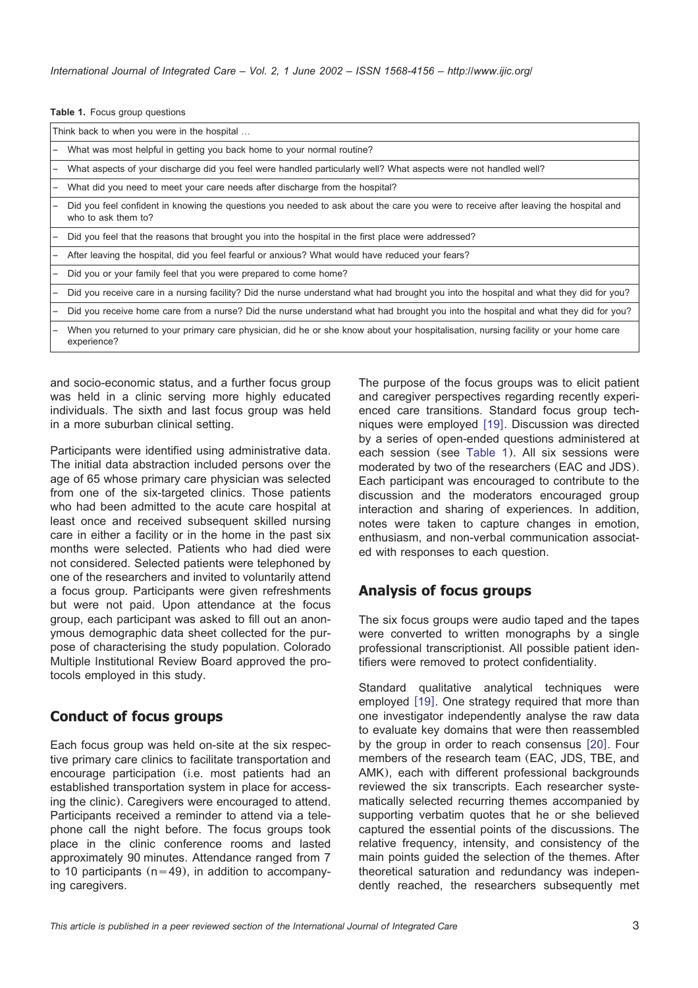|  |  |  | Table 1. Focus group questions |
|--|--|--|--------------------------------|
|--|--|--|--------------------------------|

| Think back to when you were in the hospital |                                                                                                                                                            |  |  |
|---------------------------------------------|------------------------------------------------------------------------------------------------------------------------------------------------------------|--|--|
|                                             | What was most helpful in getting you back home to your normal routine?                                                                                     |  |  |
|                                             | What aspects of your discharge did you feel were handled particularly well? What aspects were not handled well?                                            |  |  |
|                                             | What did you need to meet your care needs after discharge from the hospital?                                                                               |  |  |
|                                             | Did you feel confident in knowing the questions you needed to ask about the care you were to receive after leaving the hospital and<br>who to ask them to? |  |  |
|                                             | Did you feel that the reasons that brought you into the hospital in the first place were addressed?                                                        |  |  |
|                                             | After leaving the hospital, did you feel fearful or anxious? What would have reduced your fears?                                                           |  |  |
|                                             | Did you or your family feel that you were prepared to come home?                                                                                           |  |  |
|                                             | Did you receive care in a nursing facility? Did the nurse understand what had brought you into the hospital and what they did for you?                     |  |  |
|                                             | Did you receive home care from a nurse? Did the nurse understand what had brought you into the hospital and what they did for you?                         |  |  |
|                                             | When you returned to your primary care physician, did he or she know about your hospitalisation, nursing facility or your home care<br>experience?         |  |  |

and socio-economic status, and a further focus group was held in a clinic serving more highly educated individuals. The sixth and last focus group was held in a more suburban clinical setting.

Participants were identified using administrative data. The initial data abstraction included persons over the age of 65 whose primary care physician was selected from one of the six-targeted clinics. Those patients who had been admitted to the acute care hospital at least once and received subsequent skilled nursing care in either a facility or in the home in the past six months were selected. Patients who had died were not considered. Selected patients were telephoned by one of the researchers and invited to voluntarily attend a focus group. Participants were given refreshments but were not paid. Upon attendance at the focus group, each participant was asked to fill out an anonymous demographic data sheet collected for the purpose of characterising the study population. Colorado Multiple Institutional Review Board approved the protocols employed in this study.

#### **Conduct of focus groups**

Each focus group was held on-site at the six respective primary care clinics to facilitate transportation and encourage participation (i.e. most patients had an established transportation system in place for accessing the clinic). Caregivers were encouraged to attend. Participants received a reminder to attend via a telephone call the night before. The focus groups took place in the clinic conference rooms and lasted approximately 90 minutes. Attendance ranged from 7 to 10 participants  $(n=49)$ , in addition to accompanying caregivers.

The purpose of the focus groups was to elicit patient and caregiver perspectives regarding recently experienced care transitions. Standard focus group tech-niques were employed [[19](#page-7-0)]. Discussion was directed by a series of open-ended questions administered at each session (see Table 1). All six sessions were moderated by two of the researchers (EAC and JDS). Each participant was encouraged to contribute to the discussion and the moderators encouraged group interaction and sharing of experiences. In addition, notes were taken to capture changes in emotion, enthusiasm, and non-verbal communication associated with responses to each question.

#### **Analysis of focus groups**

The six focus groups were audio taped and the tapes were converted to written monographs by a single professional transcriptionist. All possible patient identifiers were removed to protect confidentiality.

Standard qualitative analytical techniques were employed [[19](#page-7-0)]. One strategy required that more than one investigator independently analyse the raw data to evaluate key domains that were then reassembled by the group in order to reach consensus  $[20]$  $[20]$  $[20]$ . Four members of the research team (EAC, JDS, TBE, and AMK), each with different professional backgrounds reviewed the six transcripts. Each researcher systematically selected recurring themes accompanied by supporting verbatim quotes that he or she believed captured the essential points of the discussions. The relative frequency, intensity, and consistency of the main points guided the selection of the themes. After theoretical saturation and redundancy was independently reached, the researchers subsequently met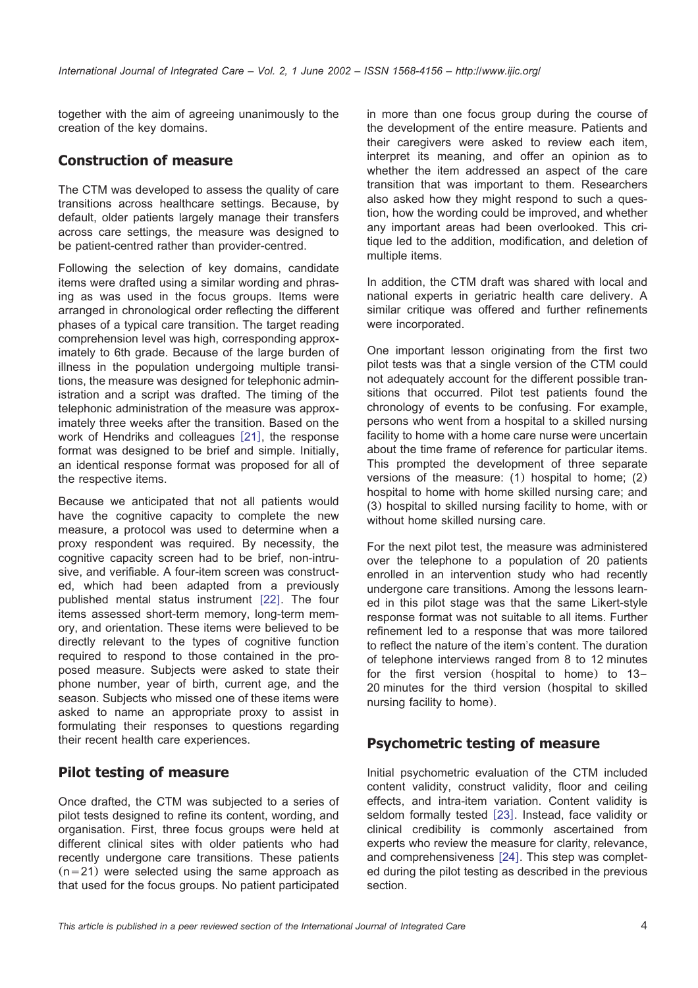together with the aim of agreeing unanimously to the creation of the key domains.

#### **Construction of measure**

The CTM was developed to assess the quality of care transitions across healthcare settings. Because, by default, older patients largely manage their transfers across care settings, the measure was designed to be patient-centred rather than provider-centred.

Following the selection of key domains, candidate items were drafted using a similar wording and phrasing as was used in the focus groups. Items were arranged in chronological order reflecting the different phases of a typical care transition. The target reading comprehension level was high, corresponding approximately to 6th grade. Because of the large burden of illness in the population undergoing multiple transitions, the measure was designed for telephonic administration and a script was drafted. The timing of the telephonic administration of the measure was approximately three weeks after the transition. Based on the work of Hendriks and colleagues [[21](#page-7-0)], the response format was designed to be brief and simple. Initially, an identical response format was proposed for all of the respective items.

Because we anticipated that not all patients would have the cognitive capacity to complete the new measure, a protocol was used to determine when a proxy respondent was required. By necessity, the cognitive capacity screen had to be brief, non-intrusive, and verifiable. A four-item screen was constructed, which had been adapted from a previously published mental status instrument [[22](#page-7-0)]. The four items assessed short-term memory, long-term memory, and orientation. These items were believed to be directly relevant to the types of cognitive function required to respond to those contained in the proposed measure. Subjects were asked to state their phone number, year of birth, current age, and the season. Subjects who missed one of these items were asked to name an appropriate proxy to assist in formulating their responses to questions regarding their recent health care experiences.

### **Pilot testing of measure**

Once drafted, the CTM was subjected to a series of pilot tests designed to refine its content, wording, and organisation. First, three focus groups were held at different clinical sites with older patients who had recently undergone care transitions. These patients  $(n=21)$  were selected using the same approach as that used for the focus groups. No patient participated in more than one focus group during the course of the development of the entire measure. Patients and their caregivers were asked to review each item, interpret its meaning, and offer an opinion as to whether the item addressed an aspect of the care transition that was important to them. Researchers also asked how they might respond to such a question, how the wording could be improved, and whether any important areas had been overlooked. This critique led to the addition, modification, and deletion of multiple items.

In addition, the CTM draft was shared with local and national experts in geriatric health care delivery. A similar critique was offered and further refinements were incorporated.

One important lesson originating from the first two pilot tests was that a single version of the CTM could not adequately account for the different possible transitions that occurred. Pilot test patients found the chronology of events to be confusing. For example, persons who went from a hospital to a skilled nursing facility to home with a home care nurse were uncertain about the time frame of reference for particular items. This prompted the development of three separate versions of the measure: (1) hospital to home; (2) hospital to home with home skilled nursing care; and (3) hospital to skilled nursing facility to home, with or without home skilled nursing care.

For the next pilot test, the measure was administered over the telephone to a population of 20 patients enrolled in an intervention study who had recently undergone care transitions. Among the lessons learned in this pilot stage was that the same Likert-style response format was not suitable to all items. Further refinement led to a response that was more tailored to reflect the nature of the item's content. The duration of telephone interviews ranged from 8 to 12 minutes for the first version (hospital to home) to 13– 20 minutes for the third version (hospital to skilled nursing facility to home).

#### **Psychometric testing of measure**

Initial psychometric evaluation of the CTM included content validity, construct validity, floor and ceiling effects, and intra-item variation. Content validity is seldom formally tested [[23](#page-8-0)]. Instead, face validity or clinical credibility is commonly ascertained from experts who review the measure for clarity, relevance, and comprehensiveness [[24](#page-8-0)]. This step was completed during the pilot testing as described in the previous section.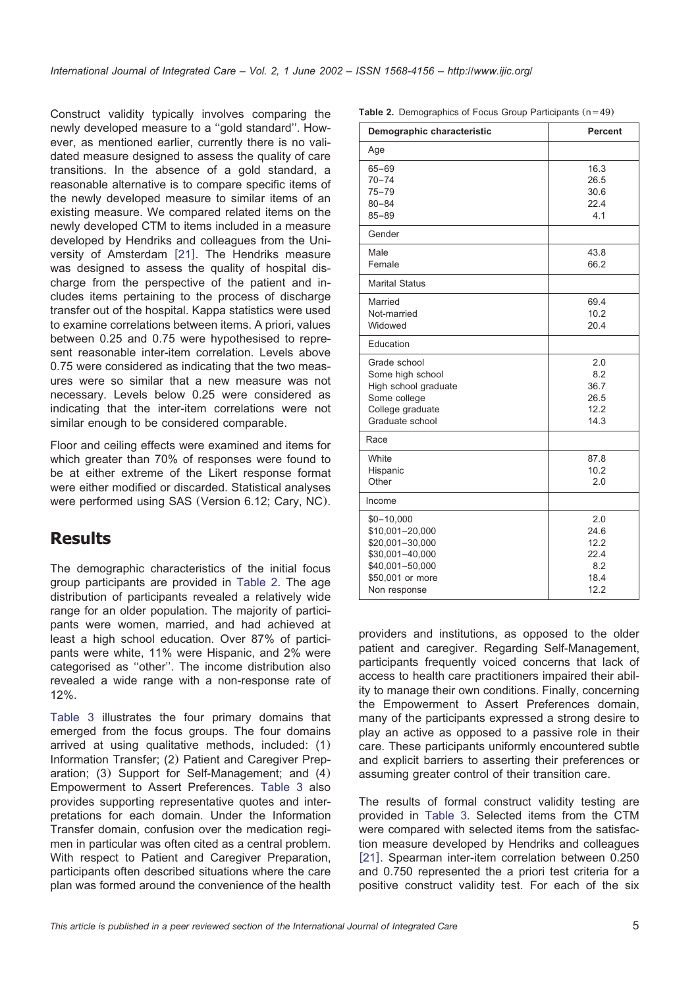Construct validity typically involves comparing the newly developed measure to a ''gold standard''. However, as mentioned earlier, currently there is no validated measure designed to assess the quality of care transitions. In the absence of a gold standard, a reasonable alternative is to compare specific items of the newly developed measure to similar items of an existing measure. We compared related items on the newly developed CTM to items included in a measure developed by Hendriks and colleagues from the Uni-versity of Amsterdam [[21](#page-7-0)]. The Hendriks measure was designed to assess the quality of hospital discharge from the perspective of the patient and includes items pertaining to the process of discharge transfer out of the hospital. Kappa statistics were used to examine correlations between items. A priori, values between 0.25 and 0.75 were hypothesised to represent reasonable inter-item correlation. Levels above 0.75 were considered as indicating that the two measures were so similar that a new measure was not necessary. Levels below 0.25 were considered as indicating that the inter-item correlations were not similar enough to be considered comparable.

Floor and ceiling effects were examined and items for which greater than 70% of responses were found to be at either extreme of the Likert response format were either modified or discarded. Statistical analyses were performed using SAS (Version 6.12; Cary, NC).

# **Results**

The demographic characteristics of the initial focus group participants are provided in Table 2. The age distribution of participants revealed a relatively wide range for an older population. The majority of participants were women, married, and had achieved at least a high school education. Over 87% of participants were white, 11% were Hispanic, and 2% were categorised as ''other''. The income distribution also revealed a wide range with a non-response rate of 12%.

[Table 3](#page-5-0) illustrates the four primary domains that emerged from the focus groups. The four domains arrived at using qualitative methods, included: (1) Information Transfer; (2) Patient and Caregiver Preparation; (3) Support for Self-Management; and (4) Empowerment to Assert Preferences. [Table 3](#page-5-0) also provides supporting representative quotes and interpretations for each domain. Under the Information Transfer domain, confusion over the medication regimen in particular was often cited as a central problem. With respect to Patient and Caregiver Preparation, participants often described situations where the care plan was formed around the convenience of the health

**Table 2.** Demographics of Focus Group Participants  $(n=49)$ 

| Demographic characteristic                                                                                                    | <b>Percent</b>                                     |
|-------------------------------------------------------------------------------------------------------------------------------|----------------------------------------------------|
| Age                                                                                                                           |                                                    |
| $65 - 69$<br>$70 - 74$<br>$75 - 79$<br>$80 - 84$<br>$85 - 89$                                                                 | 16.3<br>26.5<br>30.6<br>22.4<br>4.1                |
| Gender                                                                                                                        |                                                    |
| Male<br>Female                                                                                                                | 43.8<br>66.2                                       |
| <b>Marital Status</b>                                                                                                         |                                                    |
| Married<br>Not-married<br>Widowed                                                                                             | 69.4<br>10.2<br>20.4                               |
| Education                                                                                                                     |                                                    |
| Grade school<br>Some high school<br>High school graduate<br>Some college<br>College graduate<br>Graduate school               | 2.0<br>8.2<br>36.7<br>26.5<br>12.2<br>14.3         |
| Race                                                                                                                          |                                                    |
| White<br>Hispanic<br>Other                                                                                                    | 87.8<br>10.2<br>2.0                                |
| Income                                                                                                                        |                                                    |
| $$0 - 10,000$<br>\$10,001-20,000<br>\$20,001-30,000<br>\$30,001-40,000<br>\$40,001-50,000<br>\$50,001 or more<br>Non response | 2.0<br>24.6<br>12.2<br>22.4<br>8.2<br>18.4<br>12.2 |

providers and institutions, as opposed to the older patient and caregiver. Regarding Self-Management, participants frequently voiced concerns that lack of access to health care practitioners impaired their ability to manage their own conditions. Finally, concerning the Empowerment to Assert Preferences domain, many of the participants expressed a strong desire to play an active as opposed to a passive role in their care. These participants uniformly encountered subtle and explicit barriers to asserting their preferences or assuming greater control of their transition care.

The results of formal construct validity testing are provided in [Table 3.](#page-5-0) Selected items from the CTM were compared with selected items from the satisfaction measure developed by Hendriks and colleagues [[21](#page-7-0)]. Spearman inter-item correlation between 0.250 and 0.750 represented the a priori test criteria for a positive construct validity test. For each of the six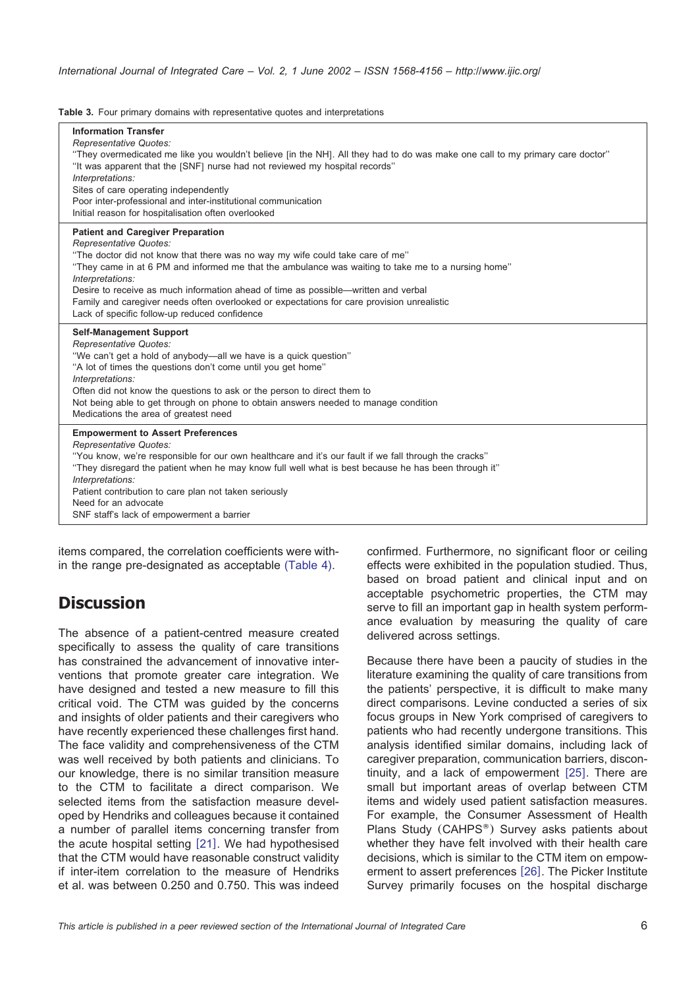#### <span id="page-5-0"></span>**Table 3.** Four primary domains with representative quotes and interpretations

| <b>Information Transfer</b><br><b>Representative Quotes:</b><br>"They overmedicated me like you wouldn't believe [in the NH]. All they had to do was make one call to my primary care doctor"<br>"It was apparent that the [SNF] nurse had not reviewed my hospital records"<br>Interpretations:<br>Sites of care operating independently<br>Poor inter-professional and inter-institutional communication<br>Initial reason for hospitalisation often overlooked                                                         |
|---------------------------------------------------------------------------------------------------------------------------------------------------------------------------------------------------------------------------------------------------------------------------------------------------------------------------------------------------------------------------------------------------------------------------------------------------------------------------------------------------------------------------|
| <b>Patient and Caregiver Preparation</b><br><b>Representative Quotes:</b><br>"The doctor did not know that there was no way my wife could take care of me"<br>"They came in at 6 PM and informed me that the ambulance was waiting to take me to a nursing home"<br>Interpretations:<br>Desire to receive as much information ahead of time as possible-written and verbal<br>Family and caregiver needs often overlooked or expectations for care provision unrealistic<br>Lack of specific follow-up reduced confidence |
| <b>Self-Management Support</b><br><b>Representative Quotes:</b><br>"We can't get a hold of anybody—all we have is a quick question"<br>"A lot of times the questions don't come until you get home"<br>Interpretations:<br>Often did not know the questions to ask or the person to direct them to<br>Not being able to get through on phone to obtain answers needed to manage condition<br>Medications the area of greatest need                                                                                        |
| <b>Empowerment to Assert Preferences</b><br>Representative Quotes:<br>"You know, we're responsible for our own healthcare and it's our fault if we fall through the cracks"<br>"They disregard the patient when he may know full well what is best because he has been through it"<br>Interpretations:<br>Patient contribution to care plan not taken seriously<br>Need for an advocate<br>SNF staff's lack of empowerment a barrier                                                                                      |

items compared, the correlation coefficients were within the range pre-designated as acceptable [\(Table 4\).](#page-6-0)

# **Discussion**

The absence of a patient-centred measure created specifically to assess the quality of care transitions has constrained the advancement of innovative interventions that promote greater care integration. We have designed and tested a new measure to fill this critical void. The CTM was guided by the concerns and insights of older patients and their caregivers who have recently experienced these challenges first hand. The face validity and comprehensiveness of the CTM was well received by both patients and clinicians. To our knowledge, there is no similar transition measure to the CTM to facilitate a direct comparison. We selected items from the satisfaction measure developed by Hendriks and colleagues because it contained a number of parallel items concerning transfer from the acute hospital setting  $[21]$  $[21]$  $[21]$ . We had hypothesised that the CTM would have reasonable construct validity if inter-item correlation to the measure of Hendriks et al. was between 0.250 and 0.750. This was indeed confirmed. Furthermore, no significant floor or ceiling effects were exhibited in the population studied. Thus, based on broad patient and clinical input and on acceptable psychometric properties, the CTM may serve to fill an important gap in health system performance evaluation by measuring the quality of care delivered across settings.

Because there have been a paucity of studies in the literature examining the quality of care transitions from the patients' perspective, it is difficult to make many direct comparisons. Levine conducted a series of six focus groups in New York comprised of caregivers to patients who had recently undergone transitions. This analysis identified similar domains, including lack of caregiver preparation, communication barriers, discontinuity, and a lack of empowerment  $[25]$  $[25]$  $[25]$ . There are small but important areas of overlap between CTM items and widely used patient satisfaction measures. For example, the Consumer Assessment of Health Plans Study (CAHPS<sup>®</sup>) Survey asks patients about whether they have felt involved with their health care decisions, which is similar to the CTM item on empow-erment to assert preferences [[26](#page-8-0)]. The Picker Institute Survey primarily focuses on the hospital discharge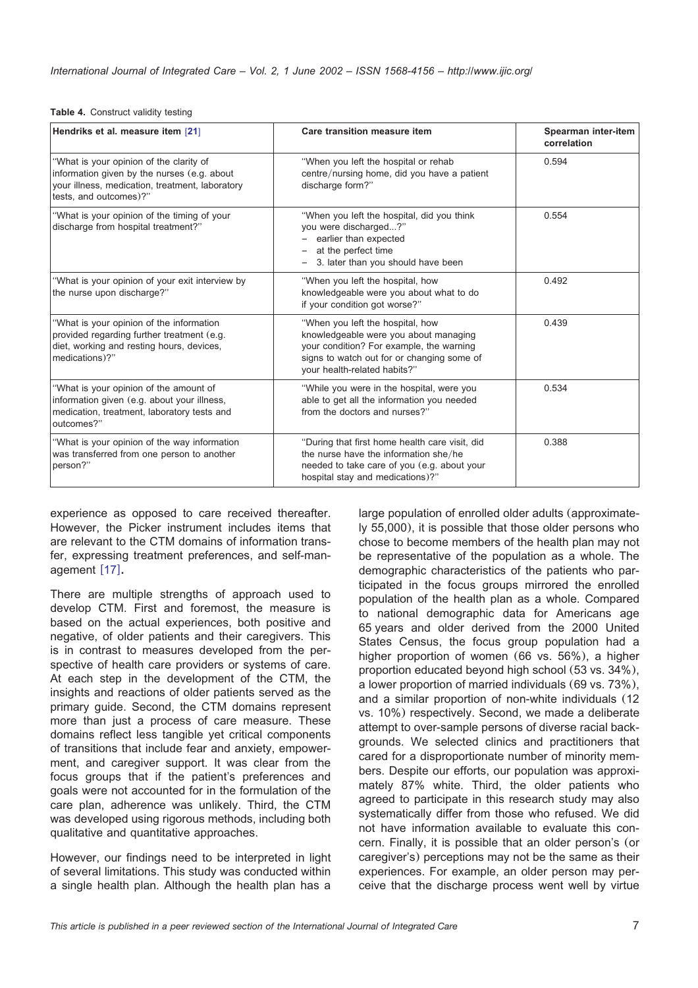#### <span id="page-6-0"></span>**Table 4.** Construct validity testing

| Hendriks et al. measure item [21]                                                                                                                                   | Care transition measure item                                                                                                                                                                        | Spearman inter-item<br>correlation |
|---------------------------------------------------------------------------------------------------------------------------------------------------------------------|-----------------------------------------------------------------------------------------------------------------------------------------------------------------------------------------------------|------------------------------------|
| "What is your opinion of the clarity of<br>information given by the nurses (e.g. about<br>your illness, medication, treatment, laboratory<br>tests, and outcomes)?" | "When you left the hospital or rehab<br>centre/nursing home, did you have a patient<br>discharge form?"                                                                                             | 0.594                              |
| "What is your opinion of the timing of your<br>discharge from hospital treatment?"                                                                                  | "When you left the hospital, did you think<br>you were discharged?"<br>earlier than expected<br>at the perfect time<br>3. later than you should have been                                           | 0.554                              |
| "What is your opinion of your exit interview by<br>the nurse upon discharge?"                                                                                       | "When you left the hospital, how<br>knowledgeable were you about what to do<br>if your condition got worse?"                                                                                        | 0.492                              |
| "What is your opinion of the information<br>provided regarding further treatment (e.g.<br>diet, working and resting hours, devices,<br>medications)?"               | "When you left the hospital, how<br>knowledgeable were you about managing<br>your condition? For example, the warning<br>signs to watch out for or changing some of<br>your health-related habits?" | 0.439                              |
| "What is your opinion of the amount of<br>information given (e.g. about your illness,<br>medication, treatment, laboratory tests and<br>outcomes?"                  | "While you were in the hospital, were you<br>able to get all the information you needed<br>from the doctors and nurses?"                                                                            | 0.534                              |
| "What is your opinion of the way information<br>was transferred from one person to another<br>person?"                                                              | "During that first home health care visit, did<br>the nurse have the information she/he<br>needed to take care of you (e.g. about your<br>hospital stay and medications)?"                          | 0.388                              |

experience as opposed to care received thereafter. However, the Picker instrument includes items that are relevant to the CTM domains of information transfer, expressing treatment preferences, and self-man-agement [[17](#page-7-0)].

There are multiple strengths of approach used to develop CTM. First and foremost, the measure is based on the actual experiences, both positive and negative, of older patients and their caregivers. This is in contrast to measures developed from the perspective of health care providers or systems of care. At each step in the development of the CTM, the insights and reactions of older patients served as the primary guide. Second, the CTM domains represent more than just a process of care measure. These domains reflect less tangible yet critical components of transitions that include fear and anxiety, empowerment, and caregiver support. It was clear from the focus groups that if the patient's preferences and goals were not accounted for in the formulation of the care plan, adherence was unlikely. Third, the CTM was developed using rigorous methods, including both qualitative and quantitative approaches.

However, our findings need to be interpreted in light of several limitations. This study was conducted within a single health plan. Although the health plan has a

large population of enrolled older adults (approximately 55,000), it is possible that those older persons who chose to become members of the health plan may not be representative of the population as a whole. The demographic characteristics of the patients who participated in the focus groups mirrored the enrolled population of the health plan as a whole. Compared to national demographic data for Americans age 65 years and older derived from the 2000 United States Census, the focus group population had a higher proportion of women (66 vs. 56%), a higher proportion educated beyond high school (53 vs. 34%), a lower proportion of married individuals (69 vs. 73%), and a similar proportion of non-white individuals (12 vs. 10%) respectively. Second, we made a deliberate attempt to over-sample persons of diverse racial backgrounds. We selected clinics and practitioners that cared for a disproportionate number of minority members. Despite our efforts, our population was approximately 87% white. Third, the older patients who agreed to participate in this research study may also systematically differ from those who refused. We did not have information available to evaluate this concern. Finally, it is possible that an older person's (or caregiver's) perceptions may not be the same as their experiences. For example, an older person may perceive that the discharge process went well by virtue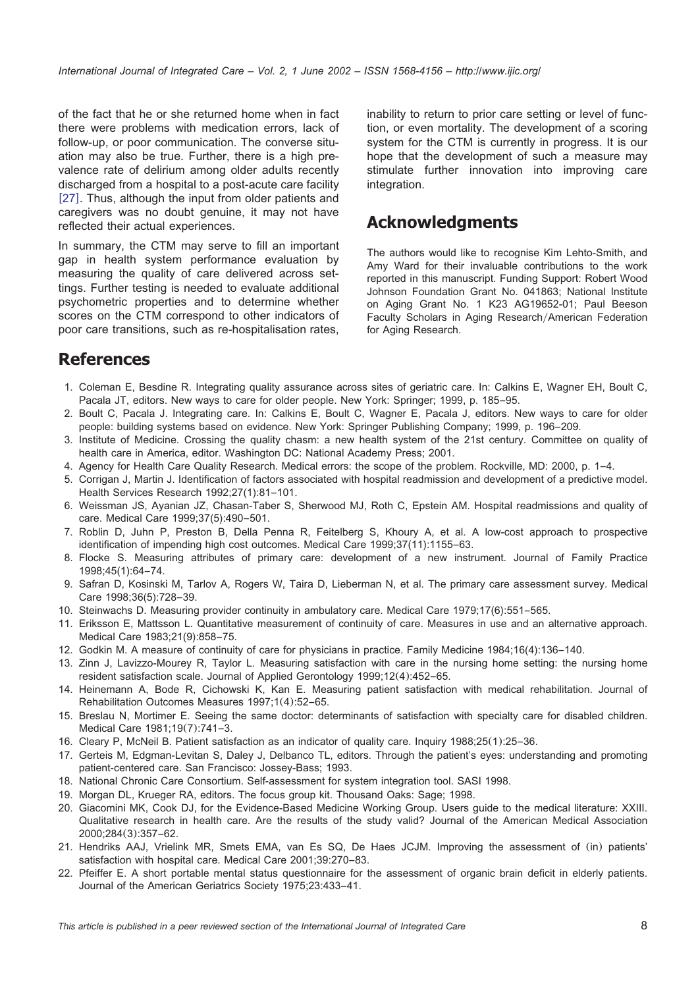<span id="page-7-0"></span>of the fact that he or she returned home when in fact there were problems with medication errors, lack of follow-up, or poor communication. The converse situation may also be true. Further, there is a high prevalence rate of delirium among older adults recently discharged from a hospital to a post-acute care facility [[27](#page-8-0)]. Thus, although the input from older patients and caregivers was no doubt genuine, it may not have reflected their actual experiences.

In summary, the CTM may serve to fill an important gap in health system performance evaluation by measuring the quality of care delivered across settings. Further testing is needed to evaluate additional psychometric properties and to determine whether scores on the CTM correspond to other indicators of poor care transitions, such as re-hospitalisation rates,

inability to return to prior care setting or level of function, or even mortality. The development of a scoring system for the CTM is currently in progress. It is our hope that the development of such a measure may stimulate further innovation into improving care integration.

# **Acknowledgments**

The authors would like to recognise Kim Lehto-Smith, and Amy Ward for their invaluable contributions to the work reported in this manuscript. Funding Support: Robert Wood Johnson Foundation Grant No. 041863; National Institute on Aging Grant No. 1 K23 AG19652-01; Paul Beeson Faculty Scholars in Aging Research/American Federation for Aging Research.

# **References**

- 1. Coleman E, Besdine R. Integrating quality assurance across sites of geriatric care. In: Calkins E, Wagner EH, Boult C, Pacala JT, editors. New ways to care for older people. New York: Springer; 1999, p. 185–95.
- 2. Boult C, Pacala J. Integrating care. In: Calkins E, Boult C, Wagner E, Pacala J, editors. New ways to care for older people: building systems based on evidence. New York: Springer Publishing Company; 1999, p. 196–209.
- 3. Institute of Medicine. Crossing the quality chasm: a new health system of the 21st century. Committee on quality of health care in America, editor. Washington DC: National Academy Press; 2001.
- 4. Agency for Health Care Quality Research. Medical errors: the scope of the problem. Rockville, MD: 2000, p. 1–4.
- 5. Corrigan J, Martin J. Identification of factors associated with hospital readmission and development of a predictive model. Health Services Research 1992;27(1):81–101.
- 6. Weissman JS, Ayanian JZ, Chasan-Taber S, Sherwood MJ, Roth C, Epstein AM. Hospital readmissions and quality of care. Medical Care 1999;37(5):490–501.
- 7. Roblin D, Juhn P, Preston B, Della Penna R, Feitelberg S, Khoury A, et al. A low-cost approach to prospective identification of impending high cost outcomes. Medical Care 1999;37(11):1155–63.
- 8. Flocke S. Measuring attributes of primary care: development of a new instrument. Journal of Family Practice 1998;45(1):64–74.
- 9. Safran D, Kosinski M, Tarlov A, Rogers W, Taira D, Lieberman N, et al. The primary care assessment survey. Medical Care 1998;36(5):728–39.
- 10. Steinwachs D. Measuring provider continuity in ambulatory care. Medical Care 1979;17(6):551–565.
- 11. Eriksson E, Mattsson L. Quantitative measurement of continuity of care. Measures in use and an alternative approach. Medical Care 1983;21(9):858–75.
- 12. Godkin M. A measure of continuity of care for physicians in practice. Family Medicine 1984;16(4):136–140.
- 13. Zinn J, Lavizzo-Mourey R, Taylor L. Measuring satisfaction with care in the nursing home setting: the nursing home resident satisfaction scale. Journal of Applied Gerontology 1999;12(4):452–65.
- 14. Heinemann A, Bode R, Cichowski K, Kan E. Measuring patient satisfaction with medical rehabilitation. Journal of Rehabilitation Outcomes Measures 1997;1(4):52–65.
- 15. Breslau N, Mortimer E. Seeing the same doctor: determinants of satisfaction with specialty care for disabled children. Medical Care 1981;19(7):741–3.
- 16. Cleary P, McNeil B. Patient satisfaction as an indicator of quality care. Inquiry 1988;25(1):25–36.
- 17. Gerteis M, Edgman-Levitan S, Daley J, Delbanco TL, editors. Through the patient's eyes: understanding and promoting patient-centered care. San Francisco: Jossey-Bass; 1993.
- 18. National Chronic Care Consortium. Self-assessment for system integration tool. SASI 1998.
- 19. Morgan DL, Krueger RA, editors. The focus group kit. Thousand Oaks: Sage; 1998.
- 20. Giacomini MK, Cook DJ, for the Evidence-Based Medicine Working Group. Users guide to the medical literature: XXIII. Qualitative research in health care. Are the results of the study valid? Journal of the American Medical Association 2000;284(3):357–62.
- 21. Hendriks AAJ, Vrielink MR, Smets EMA, van Es SQ, De Haes JCJM. Improving the assessment of (in) patients' satisfaction with hospital care. Medical Care 2001;39:270–83.
- 22. Pfeiffer E. A short portable mental status questionnaire for the assessment of organic brain deficit in elderly patients. Journal of the American Geriatrics Society 1975;23:433–41.